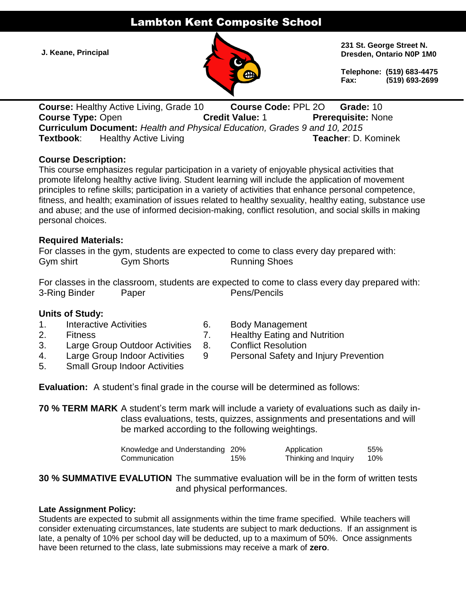# Lambton Kent Composite School

**J. Keane, Principal**



**231 St. George Street N. Dresden, Ontario N0P 1M0**

**Telephone: (519) 683-4475 Fax: (519) 693-2699**

**Course:** Healthy Active Living, Grade 10 **Course Code:** PPL 2O **Grade:** 10 **Course Type:** Open **Credit Value:** 1 **Prerequisite:** None **Curriculum Document:** *Health and Physical Education, Grades 9 and 10, 2015* **Textbook:** Healthy Active Living **Teacher: D. Kominek** 

## **Course Description:**

This course emphasizes regular participation in a variety of enjoyable physical activities that promote lifelong healthy active living. Student learning will include the application of movement principles to refine skills; participation in a variety of activities that enhance personal competence, fitness, and health; examination of issues related to healthy sexuality, healthy eating, substance use and abuse; and the use of informed decision-making, conflict resolution, and social skills in making personal choices.

## **Required Materials:**

|           |            | For classes in the gym, students are expected to come to class every day prepared with: |  |
|-----------|------------|-----------------------------------------------------------------------------------------|--|
| Gym shirt | Gym Shorts | <b>Running Shoes</b>                                                                    |  |

For classes in the classroom, students are expected to come to class every day prepared with: 3-Ring Binder Paper Pens/Pencils

## **Units of Study:**

- 1. Interactive Activities 6. Body Management
- 
- 3. Large Group Outdoor Activities 8. Conflict Resolution
- 
- 5. Small Group Indoor Activities
- 
- 2. Fitness 7. Healthy Eating and Nutrition
	-
- 4. Large Group Indoor Activities 9 Personal Safety and Injury Prevention

**Evaluation:** A student's final grade in the course will be determined as follows:

**70 % TERM MARK** A student's term mark will include a variety of evaluations such as daily inclass evaluations, tests, quizzes, assignments and presentations and will be marked according to the following weightings.

| Knowledge and Understanding 20% |     | Application          | 55% |
|---------------------------------|-----|----------------------|-----|
| Communication                   | 15% | Thinking and Inquiry | 10% |

**30 % SUMMATIVE EVALUTION** The summative evaluation will be in the form of written tests and physical performances.

### **Late Assignment Policy:**

Students are expected to submit all assignments within the time frame specified. While teachers will consider extenuating circumstances, late students are subject to mark deductions. If an assignment is late, a penalty of 10% per school day will be deducted, up to a maximum of 50%. Once assignments have been returned to the class, late submissions may receive a mark of **zero**.